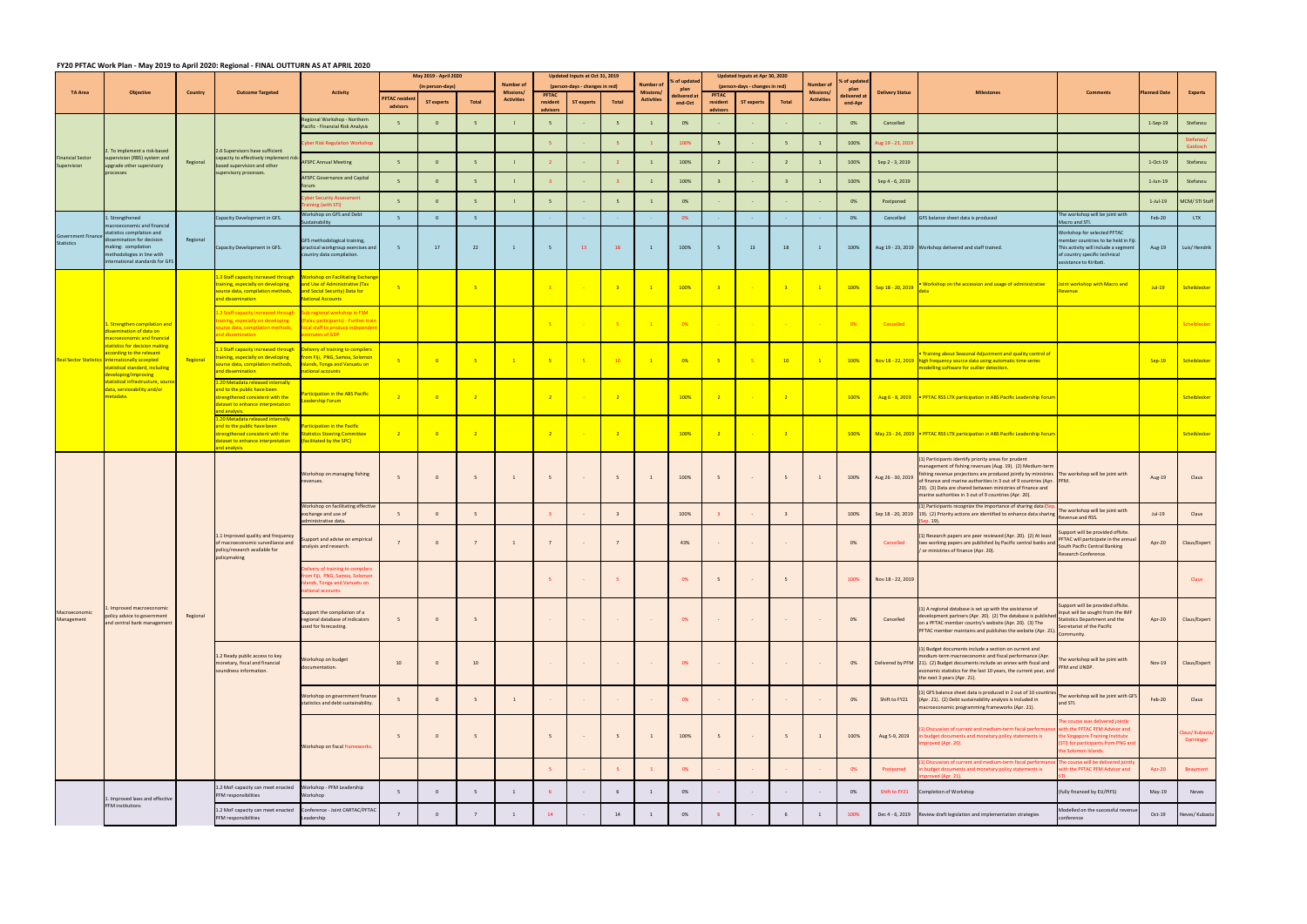## FY20 PFTAC Work Plan - May 2019 to April 2020: Regional - FINAL OUTTURN AS AT APRIL 2020

|                                        | <b>Objective</b>                                                                                                                                                                                                                                                               |                                                                                                                                                                                                                                                                                                                                                                                                                                                                                                                                                                                                                                                                                                                                                                                                                                                                                                                                                                                                                                                                 | <b>Outcome Targeted</b>                                                                                                              | FIZO FFTAC WOIN FIGHT WAY 2019 to April 2020. NESIONAL FINAL OUTTONN AS AT AFNIL 2020<br><b>Activity</b>                               | May 2019 - April 2020<br>(in person-days) |                            | <b>Number of</b> |                                       | Updated Inputs at Oct 31, 2019<br>(person-days - changes in red) |                                       |                              | Number of                            | % of updated<br>plan | Updated Inputs at Apr 30, 2020<br>(person-days - changes in red) |                                |                        | Number o               | 6 of updated<br>plan |                   |                                                                                                                                                                                                                                                                                                                                                                                                                    |                                                                                                                                                                         |                |                             |
|----------------------------------------|--------------------------------------------------------------------------------------------------------------------------------------------------------------------------------------------------------------------------------------------------------------------------------|-----------------------------------------------------------------------------------------------------------------------------------------------------------------------------------------------------------------------------------------------------------------------------------------------------------------------------------------------------------------------------------------------------------------------------------------------------------------------------------------------------------------------------------------------------------------------------------------------------------------------------------------------------------------------------------------------------------------------------------------------------------------------------------------------------------------------------------------------------------------------------------------------------------------------------------------------------------------------------------------------------------------------------------------------------------------|--------------------------------------------------------------------------------------------------------------------------------------|----------------------------------------------------------------------------------------------------------------------------------------|-------------------------------------------|----------------------------|------------------|---------------------------------------|------------------------------------------------------------------|---------------------------------------|------------------------------|--------------------------------------|----------------------|------------------------------------------------------------------|--------------------------------|------------------------|------------------------|----------------------|-------------------|--------------------------------------------------------------------------------------------------------------------------------------------------------------------------------------------------------------------------------------------------------------------------------------------------------------------------------------------------------------------------------------------------------------------|-------------------------------------------------------------------------------------------------------------------------------------------------------------------------|----------------|-----------------------------|
| <b>TA Area</b>                         |                                                                                                                                                                                                                                                                                | <b>Country</b>                                                                                                                                                                                                                                                                                                                                                                                                                                                                                                                                                                                                                                                                                                                                                                                                                                                                                                                                                                                                                                                  |                                                                                                                                      |                                                                                                                                        | <b>FTAC residen</b><br>advisors           | <b>ST experts</b>          | Total            | <b>Missions/</b><br><b>Activities</b> | PFTAC<br>resident<br><b>ST experts</b><br>Total<br>advisors      | <b>Missions/</b><br><b>Activities</b> | delivered a<br>end-Oct       | <b>PFTAC</b><br>resident<br>advisors | <b>ST experts</b>    | Total                                                            | Missions/<br><b>Activities</b> | delivered a<br>end-Apr | <b>Delivery Status</b> | <b>Milestones</b>    | <b>Comments</b>   | <b>Planned Date</b>                                                                                                                                                                                                                                                                                                                                                                                                | <b>Experts</b>                                                                                                                                                          |                |                             |
| <b>Financial Sector</b><br>Supervision | . To implement a risk-based<br>pervision (RBS) system and<br>pgrade other supervisory<br>processes                                                                                                                                                                             |                                                                                                                                                                                                                                                                                                                                                                                                                                                                                                                                                                                                                                                                                                                                                                                                                                                                                                                                                                                                                                                                 |                                                                                                                                      | gional Workshop - Northern<br>Pacific - Financial Risk Analysis                                                                        | 5                                         | $\mathbf{0}$               | 5                |                                       | 5                                                                |                                       | 5                            |                                      | 0%                   |                                                                  |                                |                        |                        | 0%                   | Cancelled         |                                                                                                                                                                                                                                                                                                                                                                                                                    |                                                                                                                                                                         | $1-Sep-19$     | Stefanou                    |
|                                        |                                                                                                                                                                                                                                                                                |                                                                                                                                                                                                                                                                                                                                                                                                                                                                                                                                                                                                                                                                                                                                                                                                                                                                                                                                                                                                                                                                 |                                                                                                                                      | yber Risk Regulation Workshop                                                                                                          |                                           |                            |                  |                                       |                                                                  |                                       | -5.                          |                                      | 100%                 |                                                                  |                                |                        |                        | 100%                 | Aug 19 - 23, 2019 |                                                                                                                                                                                                                                                                                                                                                                                                                    |                                                                                                                                                                         |                | Stefanou/<br>Gaidosch       |
|                                        |                                                                                                                                                                                                                                                                                | Regional                                                                                                                                                                                                                                                                                                                                                                                                                                                                                                                                                                                                                                                                                                                                                                                                                                                                                                                                                                                                                                                        | .6 Supervisors have sufficient<br>apacity to effectively implement<br>based supervision and other<br>supervisory processes.          | <b>AFSPC Annual Meeting</b>                                                                                                            | 5 <sup>1</sup>                            | $\Omega$                   | $-5$             |                                       |                                                                  |                                       | $\overline{2}$               |                                      | 100%                 |                                                                  |                                | $\overline{2}$         | $\overline{1}$         | 100%                 | Sep 2 - 3, 2019   |                                                                                                                                                                                                                                                                                                                                                                                                                    |                                                                                                                                                                         | 1-Oct-19       | Stefanou                    |
|                                        |                                                                                                                                                                                                                                                                                |                                                                                                                                                                                                                                                                                                                                                                                                                                                                                                                                                                                                                                                                                                                                                                                                                                                                                                                                                                                                                                                                 |                                                                                                                                      | <b>AFSPC Governance and Capital</b><br>orum                                                                                            | 5 <sup>5</sup>                            | $\mathbf{0}$               | $-5$             |                                       |                                                                  |                                       |                              |                                      | 100%                 |                                                                  |                                |                        |                        | 100%                 | Sep 4 - 6, 2019   |                                                                                                                                                                                                                                                                                                                                                                                                                    |                                                                                                                                                                         | $1$ -Jun- $19$ | Stefanou                    |
|                                        |                                                                                                                                                                                                                                                                                |                                                                                                                                                                                                                                                                                                                                                                                                                                                                                                                                                                                                                                                                                                                                                                                                                                                                                                                                                                                                                                                                 |                                                                                                                                      | ber Security Assessment<br>ining (with STI)                                                                                            | 5 <sup>1</sup>                            | $\mathbf{0}$               |                  |                                       |                                                                  |                                       | 5                            |                                      | 0%                   |                                                                  |                                |                        |                        | 0%                   | Postponed         |                                                                                                                                                                                                                                                                                                                                                                                                                    |                                                                                                                                                                         | $1-Jul-19$     | MCM/ STI Staff              |
| overnment Finance<br><b>Statistics</b> | Strengthened<br>acroeconomic and financial<br>tatistics compilation and<br>ssemination for decision<br>naking: compilation<br>nethodologies in line with<br>ternational standards for GFS                                                                                      |                                                                                                                                                                                                                                                                                                                                                                                                                                                                                                                                                                                                                                                                                                                                                                                                                                                                                                                                                                                                                                                                 | Capacity Development in GFS.                                                                                                         | Vorkshop on GFS and Debt<br>stainability                                                                                               | 5 <sub>o</sub>                            | $\bullet$                  | 5                |                                       |                                                                  |                                       |                              |                                      | 0%                   |                                                                  |                                |                        |                        | 0%                   | Cancelled         | GFS balance sheet data is produced                                                                                                                                                                                                                                                                                                                                                                                 | ne workshop will be joint with<br>acro and STI.                                                                                                                         | Feb-20         | LTX                         |
|                                        |                                                                                                                                                                                                                                                                                | Regional                                                                                                                                                                                                                                                                                                                                                                                                                                                                                                                                                                                                                                                                                                                                                                                                                                                                                                                                                                                                                                                        | Capacity Development in GFS.                                                                                                         | GFS methodological training,<br>practical workgroup exercises and<br>country data compilation.                                         | 5 <sub>5</sub>                            | 17                         | 22               | $\overline{1}$                        | 5                                                                | 13                                    | 18                           | $\mathbf{1}$                         | 100%                 | -5                                                               | 13                             | 18                     | $\mathbf{1}$           | 100%                 |                   | Aug 19 - 23, 2019 Workshop delivered and staff trained.                                                                                                                                                                                                                                                                                                                                                            | Workshop for selected PFTAC<br>nember countries to be held in Fiji.<br>This activity will include a segment<br>of country specific technical<br>assistance to Kiribati. | Aug-19         | Luis/Hendrik                |
|                                        |                                                                                                                                                                                                                                                                                |                                                                                                                                                                                                                                                                                                                                                                                                                                                                                                                                                                                                                                                                                                                                                                                                                                                                                                                                                                                                                                                                 | 1.3 Staff capacity increased through<br>training, especially on developing<br>source data, compilation methods,<br>and dissemination | <b>Workshop on Facilitating Exchang</b><br>and Use of Administrative (Tax<br>and Social Security) Data for<br><b>National Accounts</b> | $-5$                                      |                            | $-5$             |                                       | 3 <sup>2</sup>                                                   |                                       | $\left  \frac{1}{3} \right $ | $\blacksquare$                       | 100%                 |                                                                  |                                | 3 <sup>2</sup>         | $\mathbf{1}$           | 100%                 | Sep 18 - 20, 2019 | . Workshop on the accession and usage of administrative                                                                                                                                                                                                                                                                                                                                                            | Joint workshop with Macro and<br>Revenue                                                                                                                                | $Jul-19$       | Scheiblecker                |
|                                        | 1. Strengthen compilation and<br>issemination of data on<br>nacroeconomic and financial                                                                                                                                                                                        | 1.3 Staff capacity increased through<br>Sub-regional workshop in FSM<br>training, especially on developing<br>(Palau participants) - Further trai<br>source data, compilation methods,<br>local staff to produce independe<br>and dissemination<br>estimates of GDP<br>.3 Staff capacity increased through<br>Delivery of training to compilers<br>from Fiji, PNG, Samoa, Solomon<br>raining, especially on developing<br>Regional<br><b>Islands, Tonga and Vanuatu on</b><br>source data, compilation methods,<br>and dissemination<br>ational accounts<br><mark>1.20 Metadata released internall</mark> y<br>and to the public have been<br>Participation in the ABS Pacific<br>strengthened consistent with the<br>eadership Forum<br>dataset to enhance interpretation<br>nd analysis.<br>20 Metadata released internally<br>and to the public have been<br><b>Participation in the Pacific</b><br>strengthened consistent with the<br><b>Statistics Steering Committee</b><br>dataset to enhance interpretation<br>(facilitated by the SPC)<br>d analysis. |                                                                                                                                      |                                                                                                                                        |                                           |                            |                  |                                       | $-5$                                                             |                                       | 0%                           |                                      |                      |                                                                  |                                | 0%                     | Cancelled              |                      |                   |                                                                                                                                                                                                                                                                                                                                                                                                                    | Scheiblecker                                                                                                                                                            |                |                             |
|                                        | tatistics for decision making<br>according to the relevant<br><b>Real Sector Statistics internationally accepted</b><br>statistical standard, including<br>eveloping/improving<br>t <mark>atistical infrastructure, sourc</mark> e<br>lata, serviceability and/or<br>netadata. |                                                                                                                                                                                                                                                                                                                                                                                                                                                                                                                                                                                                                                                                                                                                                                                                                                                                                                                                                                                                                                                                 |                                                                                                                                      |                                                                                                                                        | $-5$                                      | $\overline{\mathbf{0}}$    | $-5$             | $\mathbf{1}$                          | $-5$                                                             | $-5$                                  | 10                           | $\blacksquare$                       | 0%                   | - 5                                                              |                                | 10                     | $\mathbf{1}$           | 100%                 |                   | . Training about Seasonal Adjustment and quality control of<br>Nov 18 - 22, 2019 high frequency source data using automatic time series<br>modelling software for outlier detection.                                                                                                                                                                                                                               |                                                                                                                                                                         | $Sep-19$       | Scheiblecker                |
|                                        |                                                                                                                                                                                                                                                                                |                                                                                                                                                                                                                                                                                                                                                                                                                                                                                                                                                                                                                                                                                                                                                                                                                                                                                                                                                                                                                                                                 |                                                                                                                                      |                                                                                                                                        | $\overline{2}$                            | $\overline{\phantom{0}}$   | $\overline{2}$   |                                       | $\frac{2}{2}$                                                    |                                       | $\sqrt{2}$                   |                                      | 100%                 |                                                                  |                                |                        |                        | 100%                 |                   | Aug 6 - 8, 2019 • PFTAC RSS LTX participation in ABS Pacific Leadership Forum                                                                                                                                                                                                                                                                                                                                      |                                                                                                                                                                         |                | Scheiblecker                |
|                                        |                                                                                                                                                                                                                                                                                |                                                                                                                                                                                                                                                                                                                                                                                                                                                                                                                                                                                                                                                                                                                                                                                                                                                                                                                                                                                                                                                                 |                                                                                                                                      |                                                                                                                                        | $\overline{2}$                            | $\overline{\phantom{0}}$ 0 | $\overline{2}$   |                                       | $\overline{\phantom{0}}$ 2                                       |                                       | $\overline{\mathbf{2}}$      |                                      | 100%                 |                                                                  |                                | $-2$                   |                        | 100%                 |                   | May 23 - 24, 2019 • PFTAC RSS LTX participation in ABS Pacific Leadership Forum                                                                                                                                                                                                                                                                                                                                    |                                                                                                                                                                         |                | Scheiblecker                |
|                                        | Improved macroeconomic<br>olicy advice to government<br>and central bank management                                                                                                                                                                                            |                                                                                                                                                                                                                                                                                                                                                                                                                                                                                                                                                                                                                                                                                                                                                                                                                                                                                                                                                                                                                                                                 |                                                                                                                                      | Workshop on managing fishing<br>evenues.                                                                                               | 5                                         | $\overline{0}$             | 5 <sub>5</sub>   |                                       |                                                                  |                                       | 5                            |                                      | 100%                 |                                                                  |                                | 5                      | 1                      | 100%                 | Aug 26 - 30, 2019 | (1) Participants identify priority areas for prudent<br>management of fishing revenues (Aug. 19). (2) Medium-term<br>fishing revenue projections are produced jointly by ministries The workshop will be joint with<br>of finance and marine authorities in 3 out of 9 countries (Apr. PFM.<br>20). (3) Data are shared between ministries of finance and<br>marine authorities in 3 out of 9 countries (Apr. 20). |                                                                                                                                                                         | Aug-19         | Claus                       |
|                                        |                                                                                                                                                                                                                                                                                |                                                                                                                                                                                                                                                                                                                                                                                                                                                                                                                                                                                                                                                                                                                                                                                                                                                                                                                                                                                                                                                                 |                                                                                                                                      | Vorkshop on facilitating effective<br>exchange and use of<br>ministrative data.                                                        | 5                                         | $\overline{0}$             | 5 <sub>5</sub>   |                                       |                                                                  |                                       | $\overline{\mathbf{3}}$      |                                      | 100%                 |                                                                  |                                |                        |                        | 100%                 |                   | (1) Participants recognize the importance of sharing data (Se<br>Sep 18 - 20, 2019 19). (2) Priority actions are identified to enhance data sharing<br>ep. 19).                                                                                                                                                                                                                                                    | The workshop will be joint with<br>Revenue and RSS.                                                                                                                     | $Jul-19$       | Claus                       |
|                                        |                                                                                                                                                                                                                                                                                |                                                                                                                                                                                                                                                                                                                                                                                                                                                                                                                                                                                                                                                                                                                                                                                                                                                                                                                                                                                                                                                                 | 1.1 Improved quality and frequency<br>of macroeconomic surveillance and<br>policy/research available for<br>policymaking             | pport and advise on empirical<br>analysis and research.                                                                                | $\overline{7}$                            | $\mathbf{0}$               |                  |                                       |                                                                  |                                       | $\overline{7}$               |                                      | 43%                  |                                                                  |                                |                        |                        | 0%                   | Cancelled         | ) Research papers are peer reviewed (Apr. 20). (2) At least<br>two working papers are published by Pacific central banks and<br>/ or ministries of finance (Apr. 20).                                                                                                                                                                                                                                              | upport will be provided offsite.<br>FTAC will participate in the annua<br>South Pacific Central Banking<br>Research Conference.                                         | Apr-20         | Claus/Expert                |
|                                        |                                                                                                                                                                                                                                                                                |                                                                                                                                                                                                                                                                                                                                                                                                                                                                                                                                                                                                                                                                                                                                                                                                                                                                                                                                                                                                                                                                 |                                                                                                                                      | livery of training to compilers<br>om Fiji, PNG, Samoa, Solomor<br>lands, Tonga and Vanuatu on<br>ational accounts                     |                                           |                            |                  |                                       |                                                                  |                                       | - 5                          |                                      | 0%                   |                                                                  |                                |                        |                        | 100%                 | Nov 18 - 22, 2019 |                                                                                                                                                                                                                                                                                                                                                                                                                    |                                                                                                                                                                         |                | Claus                       |
| Macroeconomic<br>Management            |                                                                                                                                                                                                                                                                                | Regional                                                                                                                                                                                                                                                                                                                                                                                                                                                                                                                                                                                                                                                                                                                                                                                                                                                                                                                                                                                                                                                        |                                                                                                                                      | Support the compilation of a<br>regional database of indicators<br>used for forecasting.                                               | 5                                         | $\overline{0}$             |                  |                                       |                                                                  |                                       |                              |                                      | 0%                   |                                                                  |                                |                        |                        | 0%                   | Cancelled         | (1) A regional database is set up with the assistance of<br>levelopment partners (Apr. 20). (2) The database is published<br>on a PFTAC member country's website (Apr. 20). (3) The<br>PFTAC member maintains and publishes the website (Apr. 21).                                                                                                                                                                 | upport will be provided offsite.<br>Input will be sought from the IMF<br><b>Statistics Department and the</b><br>Secretariat of the Pacific<br>Community.               | Apr-20         | Claus/Expert                |
|                                        |                                                                                                                                                                                                                                                                                |                                                                                                                                                                                                                                                                                                                                                                                                                                                                                                                                                                                                                                                                                                                                                                                                                                                                                                                                                                                                                                                                 | 1.2 Ready public access to key<br>monetary, fiscal and financial<br>soundness information.                                           | Workshop on budget<br>documentation.                                                                                                   | 10                                        | $\overline{0}$             | 10               |                                       |                                                                  |                                       | - 2                          |                                      | 0%                   |                                                                  | $\sim$                         |                        | $\sim$                 | 0%                   |                   | (1) Budget documents include a section on current and<br>medium-term macroeconomic and fiscal performance (Apr.<br>Delivered by PFM 21). (2) Budget documents include an annex with fiscal and<br>economic statistics for the last 10 years, the current year, and<br>the next 3 years (Apr. 21).                                                                                                                  | The workshop will be joint with<br>PFM and UNDP.                                                                                                                        | Nov-19         | Claus/Expert                |
|                                        |                                                                                                                                                                                                                                                                                |                                                                                                                                                                                                                                                                                                                                                                                                                                                                                                                                                                                                                                                                                                                                                                                                                                                                                                                                                                                                                                                                 |                                                                                                                                      | Workshop on government finance<br>tatistics and debt sustainability.                                                                   | 5                                         | $\overline{0}$             | 5 <sup>1</sup>   | $\overline{1}$                        |                                                                  |                                       |                              |                                      | 0%                   |                                                                  |                                |                        |                        | 0%                   | Shift to FY21     | (1) GFS balance sheet data is produced in 2 out of 10 countrie<br>(Apr. 21). (2) Debt sustainability analysis is included in<br>macroeconomic programming frameworks (Apr. 21).                                                                                                                                                                                                                                    | The workshop will be joint with GFS<br>and STI.                                                                                                                         | Feb-20         | Claus                       |
|                                        |                                                                                                                                                                                                                                                                                |                                                                                                                                                                                                                                                                                                                                                                                                                                                                                                                                                                                                                                                                                                                                                                                                                                                                                                                                                                                                                                                                 |                                                                                                                                      | Workshop on fiscal frameworks.                                                                                                         | $5\phantom{.0}$                           | $\overline{0}$             | 5 <sub>5</sub>   |                                       |                                                                  |                                       | 5                            | 1                                    | 100%                 |                                                                  |                                | $5\overline{5}$        | $\overline{1}$         | 100%                 | Aug 5-9, 2019     | Discussion of current and medium-term fiscal performan<br>in budget documents and monetary policy statements is<br>mproved (Apr. 20).                                                                                                                                                                                                                                                                              | e course was delivered jointly<br>with the PFTAC PFM Advisor and<br>the Singapore Training Institute<br>TI) for participants from PNG and<br>e Solomon Islands.         |                | laus/ Kubasta,<br>Danninger |
|                                        |                                                                                                                                                                                                                                                                                |                                                                                                                                                                                                                                                                                                                                                                                                                                                                                                                                                                                                                                                                                                                                                                                                                                                                                                                                                                                                                                                                 |                                                                                                                                      |                                                                                                                                        |                                           |                            |                  |                                       |                                                                  |                                       | -5.                          |                                      | 0%                   |                                                                  |                                |                        |                        | 0%                   | Postponed         | iscussion of current and medium-term fiscal perform<br>budget documents and monetary policy statements is<br>ved (Apr. 21).                                                                                                                                                                                                                                                                                        | e course will be delivered joi<br>th the PFTAC PFM Advisor and                                                                                                          | Apr-20         | Beaumont                    |
|                                        | . Improved laws and effective                                                                                                                                                                                                                                                  |                                                                                                                                                                                                                                                                                                                                                                                                                                                                                                                                                                                                                                                                                                                                                                                                                                                                                                                                                                                                                                                                 | 1.2 MoF capacity can meet enacted    Workshop - PFM Leadership<br>PFM responsibilities                                               | Workshop                                                                                                                               | 5                                         | $\mathbf{0}$               | 5 <sup>5</sup>   |                                       |                                                                  |                                       | 6                            |                                      | 0%                   |                                                                  |                                |                        | $\sim$                 | 0%                   | Shift to FY21     | Completion of Workshop                                                                                                                                                                                                                                                                                                                                                                                             | (fully financed by EU/PIFS)                                                                                                                                             | May-19         | Neves                       |
|                                        | PFM institutions                                                                                                                                                                                                                                                               |                                                                                                                                                                                                                                                                                                                                                                                                                                                                                                                                                                                                                                                                                                                                                                                                                                                                                                                                                                                                                                                                 | 1.2 MoF capacity can meet enacted    Conference - Joint CARTAC/PFTAC<br>PFM responsibilities                                         | Leadership                                                                                                                             | $7\overline{ }$                           | $\mathbf 0$                | $7^{\circ}$      |                                       | 14                                                               |                                       | 14                           |                                      | 0%                   |                                                                  |                                |                        | 1                      | 100%                 |                   | Dec 4 - 6, 2019 Review draft legislation and implementation strategies                                                                                                                                                                                                                                                                                                                                             | Modelled on the successful revenu<br>onference                                                                                                                          | $Oct-19$       | Neves/ Kubasta              |